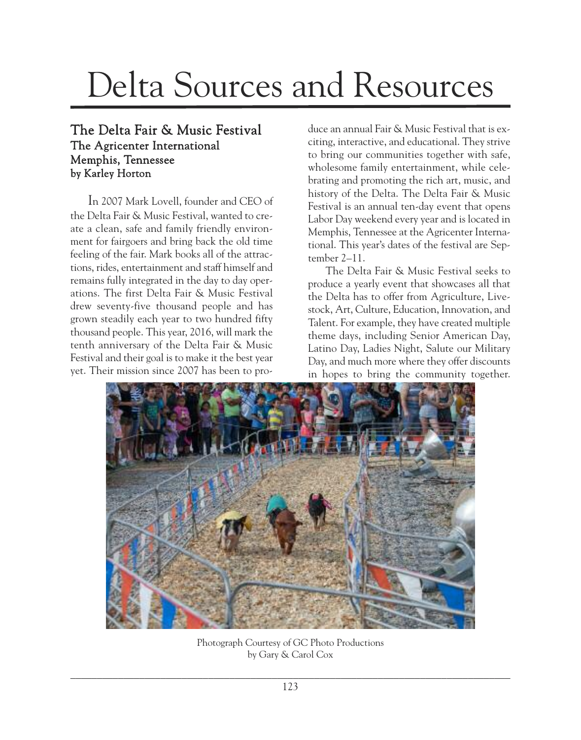## Delta Sources and Resources

## The Delta Fair & Music Festival The Agricenter International Memphis, Tennessee by Karley Horton

In 2007 Mark Lovell, founder and CEO of the Delta Fair & Music Festival, wanted to create a clean, safe and family friendly environment for fairgoers and bring back the old time feeling of the fair. Mark books all of the attractions, rides, entertainment and staff himself and remains fully integrated in the day to day operations. The first Delta Fair & Music Festival drew seventy-five thousand people and has grown steadily each year to two hundred fifty thousand people. This year, 2016, will mark the tenth anniversary of the Delta Fair & Music Festival and their goal is to make it the best year yet. Their mission since 2007 has been to produce an annual Fair & Music Festival that is exciting, interactive, and educational. They strive to bring our communities together with safe, wholesome family entertainment, while celebrating and promoting the rich art, music, and history of the Delta. The Delta Fair & Music Festival is an annual ten-day event that opens Labor Day weekend every year and is located in Memphis, Tennessee at the Agricenter International. This year's dates of the festival are September 2–11.

The Delta Fair & Music Festival seeks to produce a yearly event that showcases all that the Delta has to offer from Agriculture, Livestock, Art, Culture, Education, Innovation, and Talent. For example, they have created multiple theme days, including Senior American Day, Latino Day, Ladies Night, Salute our Military Day, and much more where they offer discounts in hopes to bring the community together.



Photograph Courtesy of GC Photo Productions by Gary & Carol Cox